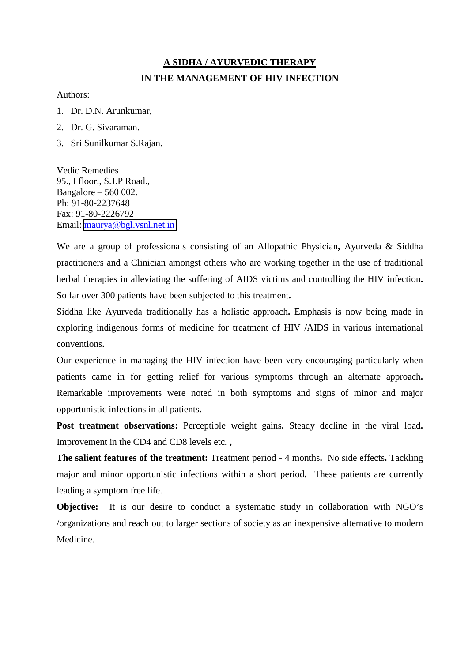## **A SIDHA / AYURVEDIC THERAPY IN THE MANAGEMENT OF HIV INFECTION**

Authors:

- 1. Dr. D.N. Arunkumar,
- 2. Dr. G. Sivaraman.
- 3. Sri Sunilkumar S.Rajan.

Vedic Remedies 95., I floor., S.J.P Road., Bangalore – 560 002. Ph: 91-80-2237648 Fax: 91-80-2226792 Email: [maurya@bgl.vsnl.net.in](mailto:maurya@bgl.vsnl.net.in)

We are a group of professionals consisting of an Allopathic Physician**,** Ayurveda & Siddha practitioners and a Clinician amongst others who are working together in the use of traditional herbal therapies in alleviating the suffering of AIDS victims and controlling the HIV infection**.**  So far over 300 patients have been subjected to this treatment**.**

Siddha like Ayurveda traditionally has a holistic approach**.** Emphasis is now being made in exploring indigenous forms of medicine for treatment of HIV /AIDS in various international conventions**.**

Our experience in managing the HIV infection have been very encouraging particularly when patients came in for getting relief for various symptoms through an alternate approach**.** Remarkable improvements were noted in both symptoms and signs of minor and major opportunistic infections in all patients**.**

**Post treatment observations:** Perceptible weight gains**.** Steady decline in the viral load**.** Improvement in the CD4 and CD8 levels etc**. ,**

**The salient features of the treatment:** Treatment period - 4 months**.** No side effects**.** Tackling major and minor opportunistic infections within a short period**.** These patients are currently leading a symptom free life.

**Objective:** It is our desire to conduct a systematic study in collaboration with NGO's /organizations and reach out to larger sections of society as an inexpensive alternative to modern Medicine.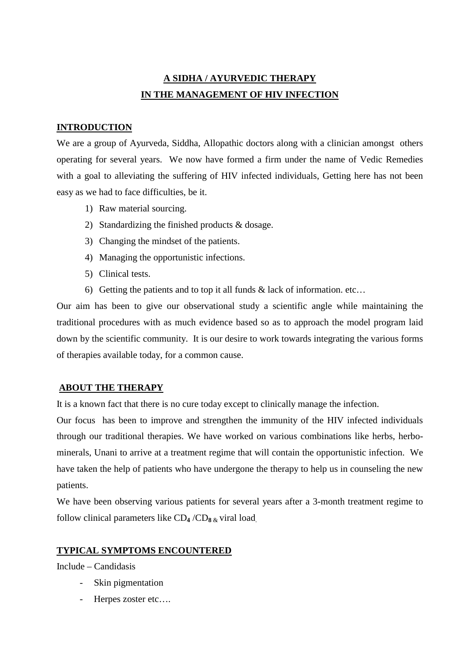# **A SIDHA / AYURVEDIC THERAPY IN THE MANAGEMENT OF HIV INFECTION**

#### **INTRODUCTION**

We are a group of Ayurveda, Siddha, Allopathic doctors along with a clinician amongst others operating for several years. We now have formed a firm under the name of Vedic Remedies with a goal to alleviating the suffering of HIV infected individuals, Getting here has not been easy as we had to face difficulties, be it.

- 1) Raw material sourcing.
- 2) Standardizing the finished products & dosage.
- 3) Changing the mindset of the patients.
- 4) Managing the opportunistic infections.
- 5) Clinical tests.
- 6) Getting the patients and to top it all funds  $\&$  lack of information. etc...

Our aim has been to give our observational study a scientific angle while maintaining the traditional procedures with as much evidence based so as to approach the model program laid down by the scientific community. It is our desire to work towards integrating the various forms of therapies available today, for a common cause.

#### **ABOUT THE THERAPY**

It is a known fact that there is no cure today except to clinically manage the infection.

Our focus has been to improve and strengthen the immunity of the HIV infected individuals through our traditional therapies. We have worked on various combinations like herbs, herbominerals, Unani to arrive at a treatment regime that will contain the opportunistic infection. We have taken the help of patients who have undergone the therapy to help us in counseling the new patients.

We have been observing various patients for several years after a 3-month treatment regime to follow clinical parameters like CD**4** /CD**8** & viral load.

#### **TYPICAL SYMPTOMS ENCOUNTERED**

Include – Candidasis

- Skin pigmentation
- Herpes zoster etc....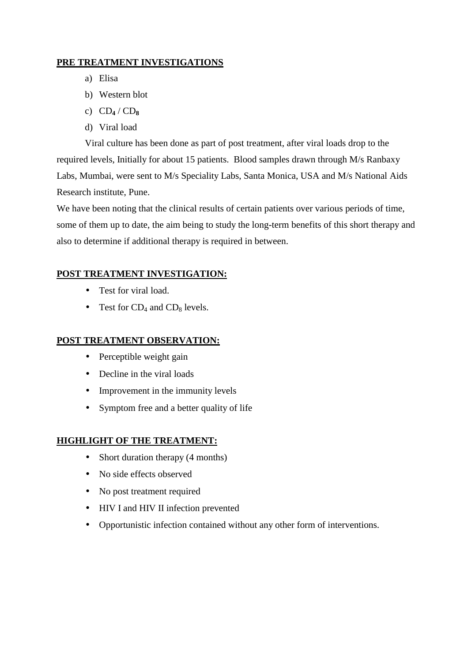## **PRE TREATMENT INVESTIGATIONS**

- a) Elisa
- b) Western blot
- c) CD**4** / CD**<sup>8</sup>**
- d) Viral load

Viral culture has been done as part of post treatment, after viral loads drop to the required levels, Initially for about 15 patients. Blood samples drawn through M/s Ranbaxy Labs, Mumbai, were sent to M/s Speciality Labs, Santa Monica, USA and M/s National Aids Research institute, Pune.

We have been noting that the clinical results of certain patients over various periods of time, some of them up to date, the aim being to study the long-term benefits of this short therapy and also to determine if additional therapy is required in between.

## **POST TREATMENT INVESTIGATION:**

- Test for viral load.
- Test for  $CD_4$  and  $CD_8$  levels.

#### **POST TREATMENT OBSERVATION:**

- Perceptible weight gain
- Decline in the viral loads
- Improvement in the immunity levels
- Symptom free and a better quality of life

## **HIGHLIGHT OF THE TREATMENT:**

- Short duration therapy (4 months)
- No side effects observed
- No post treatment required
- HIV I and HIV II infection prevented
- Opportunistic infection contained without any other form of interventions.